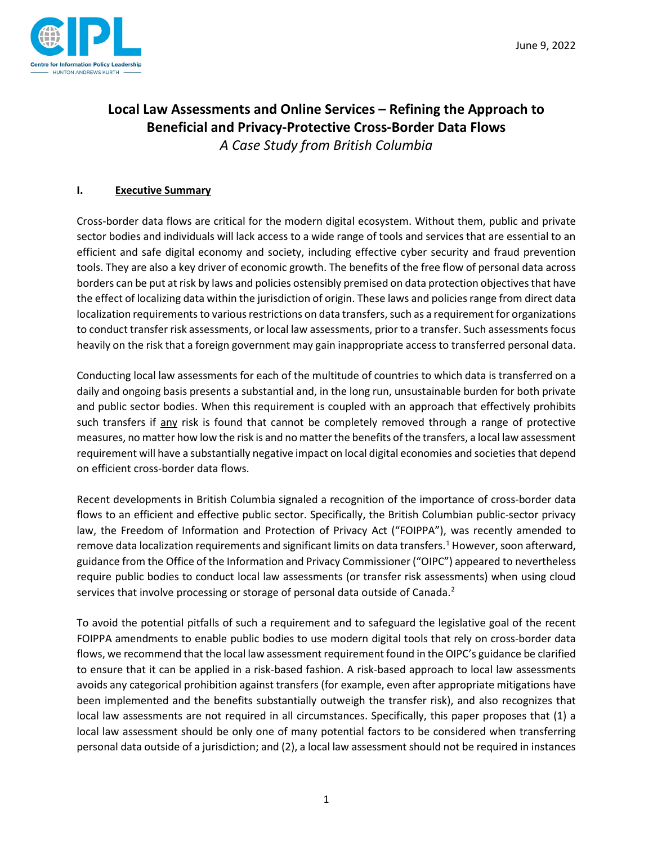

# **Local Law Assessments and Online Services – Refining the Approach to Beneficial and Privacy-Protective Cross-Border Data Flows** *A Case Study from British Columbia*

# **I. Executive Summary**

Cross-border data flows are critical for the modern digital ecosystem. Without them, public and private sector bodies and individuals will lack access to a wide range of tools and services that are essential to an efficient and safe digital economy and society, including effective cyber security and fraud prevention tools. They are also a key driver of economic growth. The benefits of the free flow of personal data across borders can be put at risk by laws and policies ostensibly premised on data protection objectivesthat have the effect of localizing data within the jurisdiction of origin. These laws and policies range from direct data localization requirements to various restrictions on data transfers, such as a requirement for organizations to conduct transfer risk assessments, or local law assessments, prior to a transfer. Such assessments focus heavily on the risk that a foreign government may gain inappropriate access to transferred personal data.

Conducting local law assessments for each of the multitude of countries to which data is transferred on a daily and ongoing basis presents a substantial and, in the long run, unsustainable burden for both private and public sector bodies. When this requirement is coupled with an approach that effectively prohibits such transfers if any risk is found that cannot be completely removed through a range of protective measures, no matter how low the risk is and no matter the benefits of the transfers, a local law assessment requirement will have a substantially negative impact on local digital economies and societies that depend on efficient cross-border data flows.

Recent developments in British Columbia signaled a recognition of the importance of cross-border data flows to an efficient and effective public sector. Specifically, the British Columbian public-sector privacy law, the Freedom of Information and Protection of Privacy Act ("FOIPPA"), was recently amended to remove data localization requirements and significant limits on data transfers.<sup>[1](#page-9-0)</sup> However, soon afterward, guidance from the Office of the Information and Privacy Commissioner ("OIPC") appeared to nevertheless require public bodies to conduct local law assessments (or transfer risk assessments) when using cloud services that involve processing or storage of personal data outside of Canada.<sup>[2](#page-9-1)</sup>

To avoid the potential pitfalls of such a requirement and to safeguard the legislative goal of the recent FOIPPA amendments to enable public bodies to use modern digital tools that rely on cross-border data flows, we recommend that the local law assessment requirement found in the OIPC's guidance be clarified to ensure that it can be applied in a risk-based fashion. A risk-based approach to local law assessments avoids any categorical prohibition against transfers (for example, even after appropriate mitigations have been implemented and the benefits substantially outweigh the transfer risk), and also recognizes that local law assessments are not required in all circumstances. Specifically, this paper proposes that (1) a local law assessment should be only one of many potential factors to be considered when transferring personal data outside of a jurisdiction; and (2), a local law assessment should not be required in instances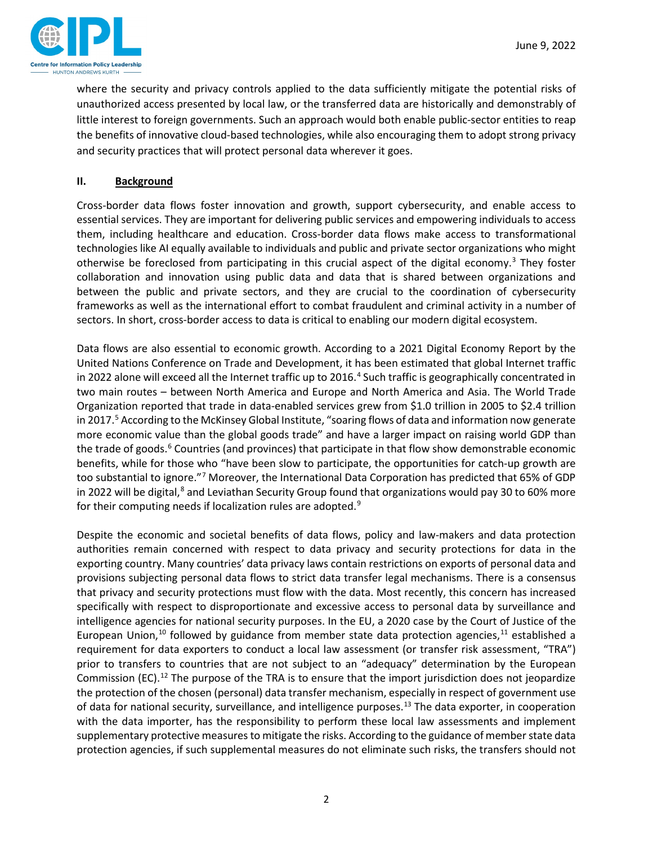

where the security and privacy controls applied to the data sufficiently mitigate the potential risks of unauthorized access presented by local law, or the transferred data are historically and demonstrably of little interest to foreign governments. Such an approach would both enable public-sector entities to reap the benefits of innovative cloud-based technologies, while also encouraging them to adopt strong privacy and security practices that will protect personal data wherever it goes.

## **II. Background**

Cross-border data flows foster innovation and growth, support cybersecurity, and enable access to essential services. They are important for delivering public services and empowering individuals to access them, including healthcare and education. Cross-border data flows make access to transformational technologies like AI equally available to individuals and public and private sector organizations who might otherwise be foreclosed from participating in this crucial aspect of the digital economy.<sup>3</sup> They foster collaboration and innovation using public data and data that is shared between organizations and between the public and private sectors, and they are crucial to the coordination of cybersecurity frameworks as well as the international effort to combat fraudulent and criminal activity in a number of sectors. In short, cross-border access to data is critical to enabling our modern digital ecosystem.

Data flows are also essential to economic growth. According to a 2021 Digital Economy Report by the United Nations Conference on Trade and Development, it has been estimated that global Internet traffic in 2022 alone will exceed all the Internet traffic up to 2016.<sup>[4](#page-10-0)</sup> Such traffic is geographically concentrated in two main routes – between North America and Europe and North America and Asia. The World Trade Organization reported that trade in data-enabled services grew from \$1.0 trillion in 2005 to \$2.4 trillion in 2017.<sup>[5](#page-10-1)</sup> According to the McKinsey Global Institute, "soaring flows of data and information now generate more economic value than the global goods trade" and have a larger impact on raising world GDP than the trade of goods.<sup>[6](#page-10-2)</sup> Countries (and provinces) that participate in that flow show demonstrable economic benefits, while for those who "have been slow to participate, the opportunities for catch-up growth are too substantial to ignore."[7](#page-10-3) Moreover, the International Data Corporation has predicted that 65% of GDP in 2022 will be digital, $^8$  $^8$  and Leviathan Security Group found that organizations would pay 30 to 60% more for their computing needs if localization rules are adopted. $9$ 

Despite the economic and societal benefits of data flows, policy and law-makers and data protection authorities remain concerned with respect to data privacy and security protections for data in the exporting country. Many countries' data privacy laws contain restrictions on exports of personal data and provisions subjecting personal data flows to strict data transfer legal mechanisms. There is a consensus that privacy and security protections must flow with the data. Most recently, this concern has increased specifically with respect to disproportionate and excessive access to personal data by surveillance and intelligence agencies for national security purposes. In the EU, a 2020 case by the Court of Justice of the European Union,<sup>[10](#page-10-6)</sup> followed by guidance from member state data protection agencies,<sup>11</sup> established a requirement for data exporters to conduct a local law assessment (or transfer risk assessment, "TRA") prior to transfers to countries that are not subject to an "adequacy" determination by the European Commission (EC).<sup>[12](#page-10-8)</sup> The purpose of the TRA is to ensure that the import jurisdiction does not jeopardize the protection of the chosen (personal) data transfer mechanism, especially in respect of government use of data for national security, surveillance, and intelligence purposes.<sup>[13](#page-10-9)</sup> The data exporter, in cooperation with the data importer, has the responsibility to perform these local law assessments and implement supplementary protective measures to mitigate the risks. According to the guidance of member state data protection agencies, if such supplemental measures do not eliminate such risks, the transfers should not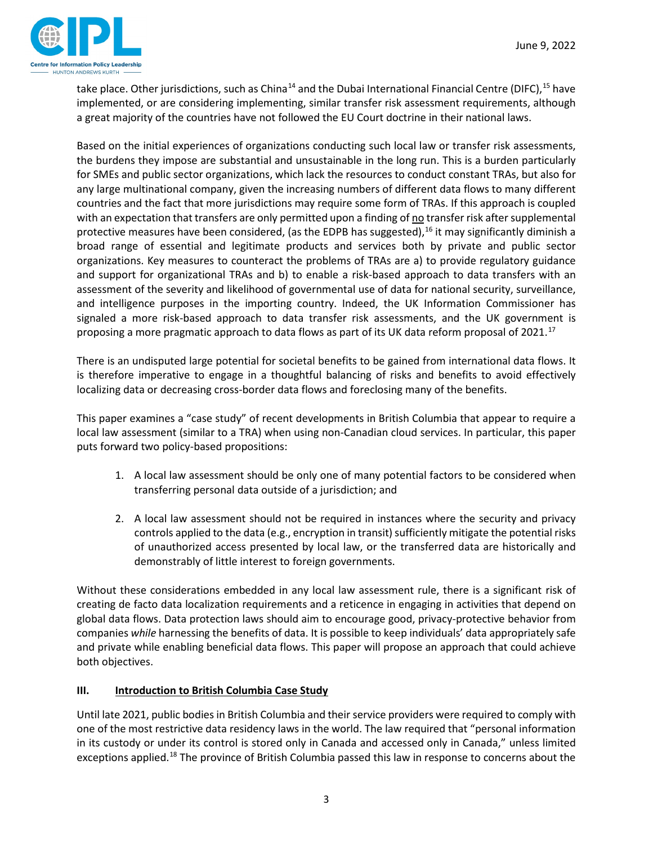

take place. Other jurisdictions, such as China<sup>[14](#page-10-10)</sup> and the Dubai International Financial Centre (DIFC),<sup>[15](#page-10-11)</sup> have implemented, or are considering implementing, similar transfer risk assessment requirements, although a great majority of the countries have not followed the EU Court doctrine in their national laws.

Based on the initial experiences of organizations conducting such local law or transfer risk assessments, the burdens they impose are substantial and unsustainable in the long run. This is a burden particularly for SMEs and public sector organizations, which lack the resources to conduct constant TRAs, but also for any large multinational company, given the increasing numbers of different data flows to many different countries and the fact that more jurisdictions may require some form of TRAs. If this approach is coupled with an expectation that transfers are only permitted upon a finding of no transfer risk after supplemental protective measures have been considered, (as the EDPB has suggested),<sup>[16](#page-10-12)</sup> it may significantly diminish a broad range of essential and legitimate products and services both by private and public sector organizations. Key measures to counteract the problems of TRAs are a) to provide regulatory guidance and support for organizational TRAs and b) to enable a risk-based approach to data transfers with an assessment of the severity and likelihood of governmental use of data for national security, surveillance, and intelligence purposes in the importing country. Indeed, the UK Information Commissioner has signaled a more risk-based approach to data transfer risk assessments, and the UK government is proposing a more pragmatic approach to data flows as part of its UK data reform proposal of 2021.<sup>[17](#page-10-13)</sup>

There is an undisputed large potential for societal benefits to be gained from international data flows. It is therefore imperative to engage in a thoughtful balancing of risks and benefits to avoid effectively localizing data or decreasing cross-border data flows and foreclosing many of the benefits.

This paper examines a "case study" of recent developments in British Columbia that appear to require a local law assessment (similar to a TRA) when using non-Canadian cloud services. In particular, this paper puts forward two policy-based propositions:

- 1. A local law assessment should be only one of many potential factors to be considered when transferring personal data outside of a jurisdiction; and
- 2. A local law assessment should not be required in instances where the security and privacy controls applied to the data (e.g., encryption in transit) sufficiently mitigate the potential risks of unauthorized access presented by local law, or the transferred data are historically and demonstrably of little interest to foreign governments.

Without these considerations embedded in any local law assessment rule, there is a significant risk of creating de facto data localization requirements and a reticence in engaging in activities that depend on global data flows. Data protection laws should aim to encourage good, privacy-protective behavior from companies *while* harnessing the benefits of data. It is possible to keep individuals' data appropriately safe and private while enabling beneficial data flows. This paper will propose an approach that could achieve both objectives.

# **III. Introduction to British Columbia Case Study**

Until late 2021, public bodies in British Columbia and their service providers were required to comply with one of the most restrictive data residency laws in the world. The law required that "personal information in its custody or under its control is stored only in Canada and accessed only in Canada," unless limited exceptions applied.<sup>[18](#page-10-14)</sup> The province of British Columbia passed this law in response to concerns about the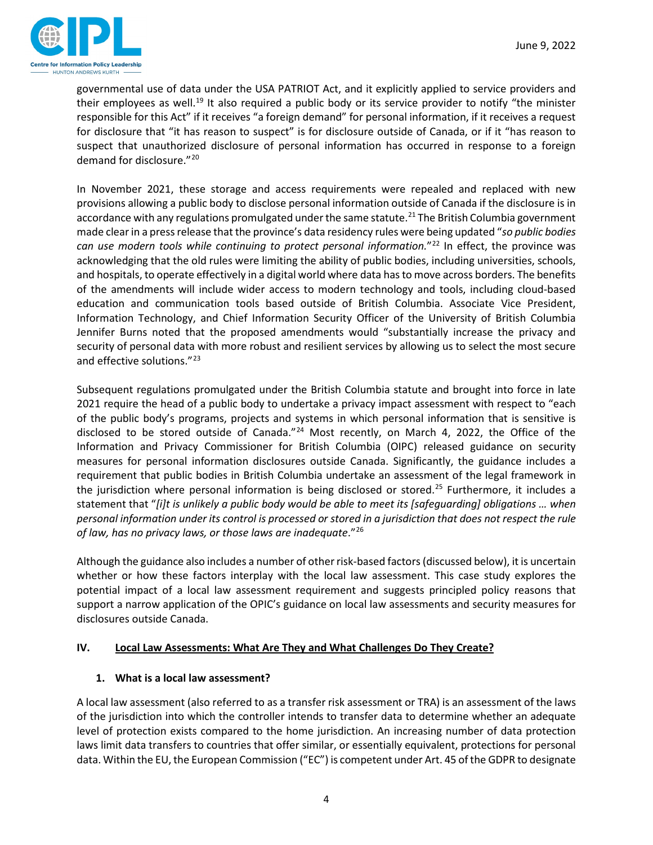

governmental use of data under the USA PATRIOT Act, and it explicitly applied to service providers and their employees as well.<sup>[19](#page-10-15)</sup> It also required a public body or its service provider to notify "the minister responsible for this Act" if it receives "a foreign demand" for personal information, if it receives a request for disclosure that "it has reason to suspect" is for disclosure outside of Canada, or if it "has reason to suspect that unauthorized disclosure of personal information has occurred in response to a foreign demand for disclosure."[20](#page-10-16)

In November 2021, these storage and access requirements were repealed and replaced with new provisions allowing a public body to disclose personal information outside of Canada if the disclosure is in accordance with any regulations promulgated under the same statute.<sup>[21](#page-10-17)</sup> The British Columbia government made clear in a press release that the province's data residency rules were being updated "*so public bodies*  can use modern tools while continuing to protect personal information."<sup>22</sup> In effect, the province was acknowledging that the old rules were limiting the ability of public bodies, including universities, schools, and hospitals, to operate effectively in a digital world where data has to move across borders. The benefits of the amendments will include wider access to modern technology and tools, including cloud-based education and communication tools based outside of British Columbia. Associate Vice President, Information Technology, and Chief Information Security Officer of the University of British Columbia Jennifer Burns noted that the proposed amendments would "substantially increase the privacy and security of personal data with more robust and resilient services by allowing us to select the most secure and effective solutions."<sup>[23](#page-10-19)</sup>

Subsequent regulations promulgated under the British Columbia statute and brought into force in late 2021 require the head of a public body to undertake a privacy impact assessment with respect to "each of the public body's programs, projects and systems in which personal information that is sensitive is disclosed to be stored outside of Canada."<sup>[24](#page-10-20)</sup> Most recently, on March 4, 2022, the Office of the Information and Privacy Commissioner for British Columbia (OIPC) released guidance on security measures for personal information disclosures outside Canada. Significantly, the guidance includes a requirement that public bodies in British Columbia undertake an assessment of the legal framework in the jurisdiction where personal information is being disclosed or stored.<sup>[25](#page-10-21)</sup> Furthermore, it includes a statement that "*[i]t is unlikely a public body would be able to meet its [safeguarding] obligations … when personal information under its control is processed or stored in a jurisdiction that does not respect the rule of law, has no privacy laws, or those laws are inadequate*."[26](#page-10-22)

Although the guidance also includes a number of other risk-based factors(discussed below), it is uncertain whether or how these factors interplay with the local law assessment. This case study explores the potential impact of a local law assessment requirement and suggests principled policy reasons that support a narrow application of the OPIC's guidance on local law assessments and security measures for disclosures outside Canada.

#### **IV. Local Law Assessments: What Are They and What Challenges Do They Create?**

#### **1. What is a local law assessment?**

A local law assessment (also referred to as a transfer risk assessment or TRA) is an assessment of the laws of the jurisdiction into which the controller intends to transfer data to determine whether an adequate level of protection exists compared to the home jurisdiction. An increasing number of data protection laws limit data transfers to countries that offer similar, or essentially equivalent, protections for personal data. Within the EU, the European Commission ("EC") is competent under Art. 45 of the GDPR to designate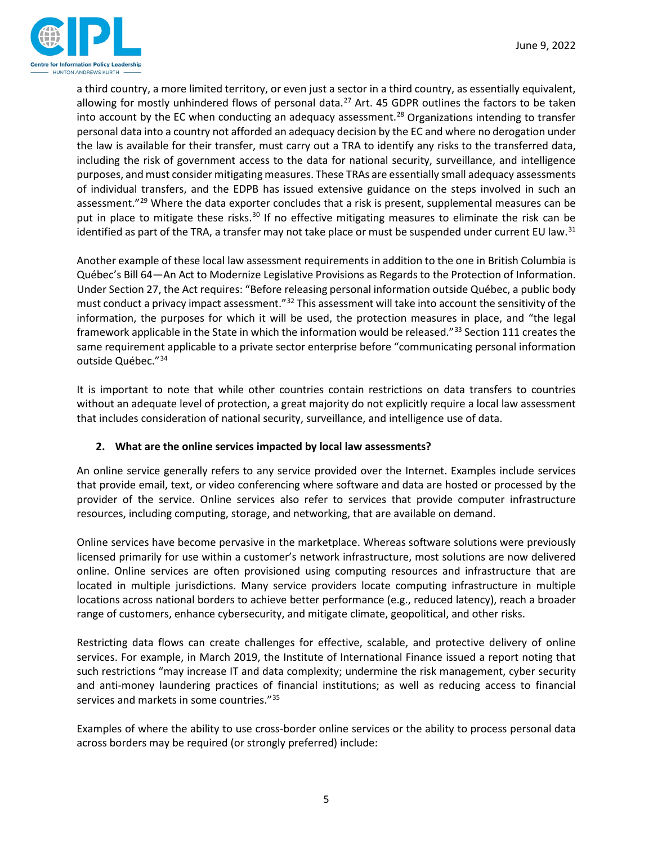

a third country, a more limited territory, or even just a sector in a third country, as essentially equivalent, allowing for mostly unhindered flows of personal data.<sup>[27](#page-10-23)</sup> Art. 45 GDPR outlines the factors to be taken into account by the EC when conducting an adequacy assessment.<sup>[28](#page-11-0)</sup> Organizations intending to transfer personal data into a country not afforded an adequacy decision by the EC and where no derogation under the law is available for their transfer, must carry out a TRA to identify any risks to the transferred data, including the risk of government access to the data for national security, surveillance, and intelligence purposes, and must consider mitigating measures. These TRAs are essentially small adequacy assessments of individual transfers, and the EDPB has issued extensive guidance on the steps involved in such an assessment."<sup>[29](#page-11-1)</sup> Where the data exporter concludes that a risk is present, supplemental measures can be put in place to mitigate these risks.<sup>[30](#page-11-2)</sup> If no effective mitigating measures to eliminate the risk can be identified as part of the TRA, a transfer may not take place or must be suspended under current EU law.<sup>[31](#page-11-3)</sup>

Another example of these local law assessment requirements in addition to the one in British Columbia is Québec's Bill 64—An Act to Modernize Legislative Provisions as Regards to the Protection of Information. Under Section 27, the Act requires: "Before releasing personal information outside Québec, a public body must conduct a privacy impact assessment."[32](#page-11-4) This assessment will take into account the sensitivity of the information, the purposes for which it will be used, the protection measures in place, and "the legal framework applicable in the State in which the information would be released."[33](#page-11-5) Section 111 creates the same requirement applicable to a private sector enterprise before "communicating personal information outside Québec."[34](#page-11-6)

It is important to note that while other countries contain restrictions on data transfers to countries without an adequate level of protection, a great majority do not explicitly require a local law assessment that includes consideration of national security, surveillance, and intelligence use of data.

# **2. What are the online services impacted by local law assessments?**

An online service generally refers to any service provided over the Internet. Examples include services that provide email, text, or video conferencing where software and data are hosted or processed by the provider of the service. Online services also refer to services that provide computer infrastructure resources, including computing, storage, and networking, that are available on demand.

Online services have become pervasive in the marketplace. Whereas software solutions were previously licensed primarily for use within a customer's network infrastructure, most solutions are now delivered online. Online services are often provisioned using computing resources and infrastructure that are located in multiple jurisdictions. Many service providers locate computing infrastructure in multiple locations across national borders to achieve better performance (e.g., reduced latency), reach a broader range of customers, enhance cybersecurity, and mitigate climate, geopolitical, and other risks.

Restricting data flows can create challenges for effective, scalable, and protective delivery of online services. For example, in March 2019, the Institute of International Finance issued a report noting that such restrictions "may increase IT and data complexity; undermine the risk management, cyber security and anti-money laundering practices of financial institutions; as well as reducing access to financial services and markets in some countries."[35](#page-11-7)

Examples of where the ability to use cross-border online services or the ability to process personal data across borders may be required (or strongly preferred) include: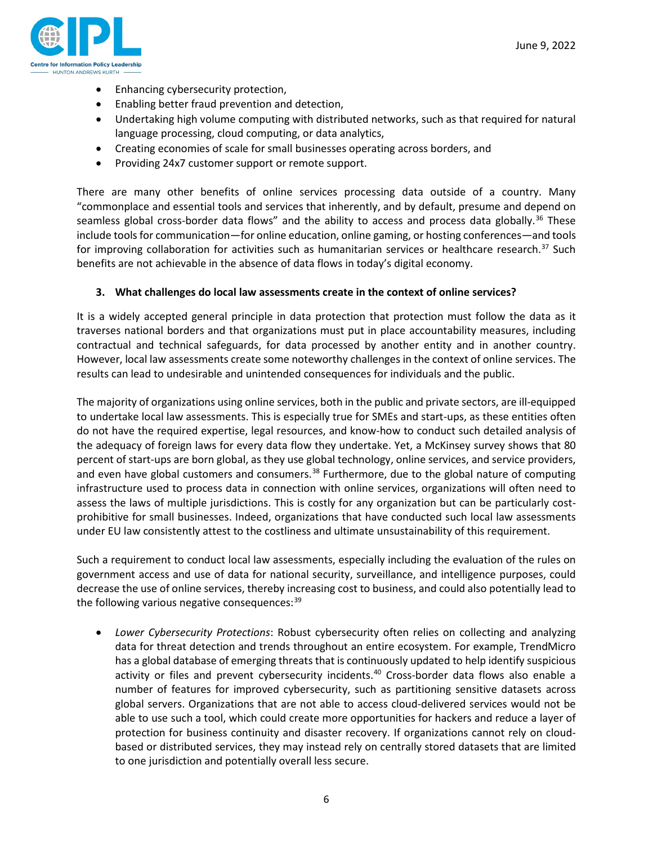

- Enhancing cybersecurity protection,
- Enabling better fraud prevention and detection,
- Undertaking high volume computing with distributed networks, such as that required for natural language processing, cloud computing, or data analytics,
- Creating economies of scale for small businesses operating across borders, and
- Providing 24x7 customer support or remote support.

There are many other benefits of online services processing data outside of a country. Many "commonplace and essential tools and services that inherently, and by default, presume and depend on seamless global cross-border data flows" and the ability to access and process data globally.<sup>[36](#page-11-8)</sup> These include tools for communication—for online education, online gaming, or hosting conferences—and tools for improving collaboration for activities such as humanitarian services or healthcare research.<sup>[37](#page-11-9)</sup> Such benefits are not achievable in the absence of data flows in today's digital economy.

#### **3. What challenges do local law assessments create in the context of online services?**

It is a widely accepted general principle in data protection that protection must follow the data as it traverses national borders and that organizations must put in place accountability measures, including contractual and technical safeguards, for data processed by another entity and in another country. However, local law assessments create some noteworthy challenges in the context of online services. The results can lead to undesirable and unintended consequences for individuals and the public.

The majority of organizations using online services, both in the public and private sectors, are ill-equipped to undertake local law assessments. This is especially true for SMEs and start-ups, as these entities often do not have the required expertise, legal resources, and know-how to conduct such detailed analysis of the adequacy of foreign laws for every data flow they undertake. Yet, a McKinsey survey shows that 80 percent of start-ups are born global, as they use global technology, online services, and service providers, and even have global customers and consumers.<sup>[38](#page-11-10)</sup> Furthermore, due to the global nature of computing infrastructure used to process data in connection with online services, organizations will often need to assess the laws of multiple jurisdictions. This is costly for any organization but can be particularly costprohibitive for small businesses. Indeed, organizations that have conducted such local law assessments under EU law consistently attest to the costliness and ultimate unsustainability of this requirement.

Such a requirement to conduct local law assessments, especially including the evaluation of the rules on government access and use of data for national security, surveillance, and intelligence purposes, could decrease the use of online services, thereby increasing cost to business, and could also potentially lead to the following various negative consequences:  $39$ 

• *Lower Cybersecurity Protections*: Robust cybersecurity often relies on collecting and analyzing data for threat detection and trends throughout an entire ecosystem. For example, TrendMicro has a global database of emerging threats that is continuously updated to help identify suspicious activity or files and prevent cybersecurity incidents.<sup>[40](#page-11-12)</sup> Cross-border data flows also enable a number of features for improved cybersecurity, such as partitioning sensitive datasets across global servers. Organizations that are not able to access cloud-delivered services would not be able to use such a tool, which could create more opportunities for hackers and reduce a layer of protection for business continuity and disaster recovery. If organizations cannot rely on cloudbased or distributed services, they may instead rely on centrally stored datasets that are limited to one jurisdiction and potentially overall less secure.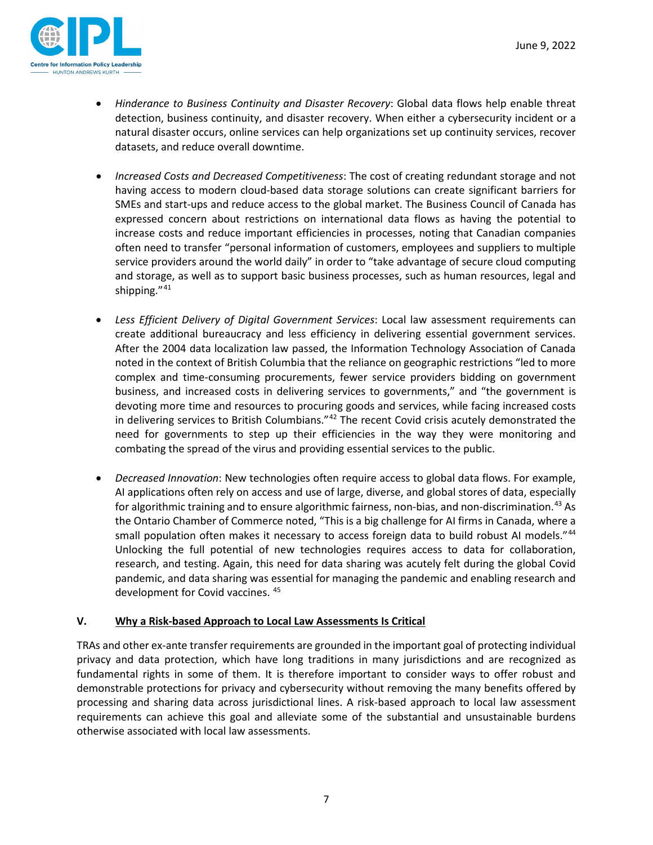

- *Hinderance to Business Continuity and Disaster Recovery*: Global data flows help enable threat detection, business continuity, and disaster recovery. When either a cybersecurity incident or a natural disaster occurs, online services can help organizations set up continuity services, recover datasets, and reduce overall downtime.
- *Increased Costs and Decreased Competitiveness*: The cost of creating redundant storage and not having access to modern cloud-based data storage solutions can create significant barriers for SMEs and start-ups and reduce access to the global market. The Business Council of Canada has expressed concern about restrictions on international data flows as having the potential to increase costs and reduce important efficiencies in processes, noting that Canadian companies often need to transfer "personal information of customers, employees and suppliers to multiple service providers around the world daily" in order to "take advantage of secure cloud computing and storage, as well as to support basic business processes, such as human resources, legal and shipping."[41](#page-11-13)
- *Less Efficient Delivery of Digital Government Services*: Local law assessment requirements can create additional bureaucracy and less efficiency in delivering essential government services. After the 2004 data localization law passed, the Information Technology Association of Canada noted in the context of British Columbia that the reliance on geographic restrictions "led to more complex and time-consuming procurements, fewer service providers bidding on government business, and increased costs in delivering services to governments," and "the government is devoting more time and resources to procuring goods and services, while facing increased costs in delivering services to British Columbians."<sup>[42](#page-11-14)</sup> The recent Covid crisis acutely demonstrated the need for governments to step up their efficiencies in the way they were monitoring and combating the spread of the virus and providing essential services to the public.
- *Decreased Innovation*: New technologies often require access to global data flows. For example, AI applications often rely on access and use of large, diverse, and global stores of data, especially for algorithmic training and to ensure algorithmic fairness, non-bias, and non-discrimination.<sup>[43](#page-11-15)</sup> As the Ontario Chamber of Commerce noted, "This is a big challenge for AI firms in Canada, where a small population often makes it necessary to access foreign data to build robust AI models."[44](#page-11-16) Unlocking the full potential of new technologies requires access to data for collaboration, research, and testing. Again, this need for data sharing was acutely felt during the global Covid pandemic, and data sharing was essential for managing the pandemic and enabling research and development for Covid vaccines. [45](#page-11-17)

#### **V. Why a Risk-based Approach to Local Law Assessments Is Critical**

TRAs and other ex-ante transfer requirements are grounded in the important goal of protecting individual privacy and data protection, which have long traditions in many jurisdictions and are recognized as fundamental rights in some of them. It is therefore important to consider ways to offer robust and demonstrable protections for privacy and cybersecurity without removing the many benefits offered by processing and sharing data across jurisdictional lines. A risk-based approach to local law assessment requirements can achieve this goal and alleviate some of the substantial and unsustainable burdens otherwise associated with local law assessments.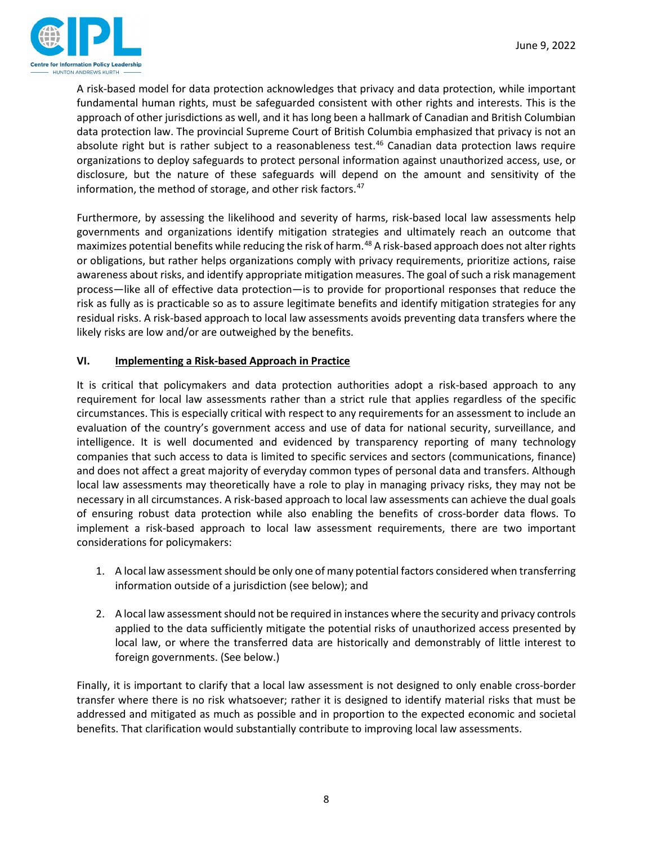

A risk-based model for data protection acknowledges that privacy and data protection, while important fundamental human rights, must be safeguarded consistent with other rights and interests. This is the approach of other jurisdictions as well, and it has long been a hallmark of Canadian and British Columbian data protection law. The provincial Supreme Court of British Columbia emphasized that privacy is not an absolute right but is rather subject to a reasonableness test.<sup>[46](#page-11-18)</sup> Canadian data protection laws require organizations to deploy safeguards to protect personal information against unauthorized access, use, or disclosure, but the nature of these safeguards will depend on the amount and sensitivity of the information, the method of storage, and other risk factors.<sup>47</sup>

Furthermore, by assessing the likelihood and severity of harms, risk-based local law assessments help governments and organizations identify mitigation strategies and ultimately reach an outcome that maximizes potential benefits while reducing the risk of harm.<sup>[48](#page-12-1)</sup> A risk-based approach does not alter rights or obligations, but rather helps organizations comply with privacy requirements, prioritize actions, raise awareness about risks, and identify appropriate mitigation measures. The goal of such a risk management process—like all of effective data protection—is to provide for proportional responses that reduce the risk as fully as is practicable so as to assure legitimate benefits and identify mitigation strategies for any residual risks. A risk-based approach to local law assessments avoids preventing data transfers where the likely risks are low and/or are outweighed by the benefits.

## **VI. Implementing a Risk-based Approach in Practice**

It is critical that policymakers and data protection authorities adopt a risk-based approach to any requirement for local law assessments rather than a strict rule that applies regardless of the specific circumstances. This is especially critical with respect to any requirements for an assessment to include an evaluation of the country's government access and use of data for national security, surveillance, and intelligence. It is well documented and evidenced by transparency reporting of many technology companies that such access to data is limited to specific services and sectors (communications, finance) and does not affect a great majority of everyday common types of personal data and transfers. Although local law assessments may theoretically have a role to play in managing privacy risks, they may not be necessary in all circumstances. A risk-based approach to local law assessments can achieve the dual goals of ensuring robust data protection while also enabling the benefits of cross-border data flows. To implement a risk-based approach to local law assessment requirements, there are two important considerations for policymakers:

- 1. A local law assessment should be only one of many potential factors considered when transferring information outside of a jurisdiction (see below); and
- 2. A local law assessment should not be required in instances where the security and privacy controls applied to the data sufficiently mitigate the potential risks of unauthorized access presented by local law, or where the transferred data are historically and demonstrably of little interest to foreign governments. (See below.)

Finally, it is important to clarify that a local law assessment is not designed to only enable cross-border transfer where there is no risk whatsoever; rather it is designed to identify material risks that must be addressed and mitigated as much as possible and in proportion to the expected economic and societal benefits. That clarification would substantially contribute to improving local law assessments.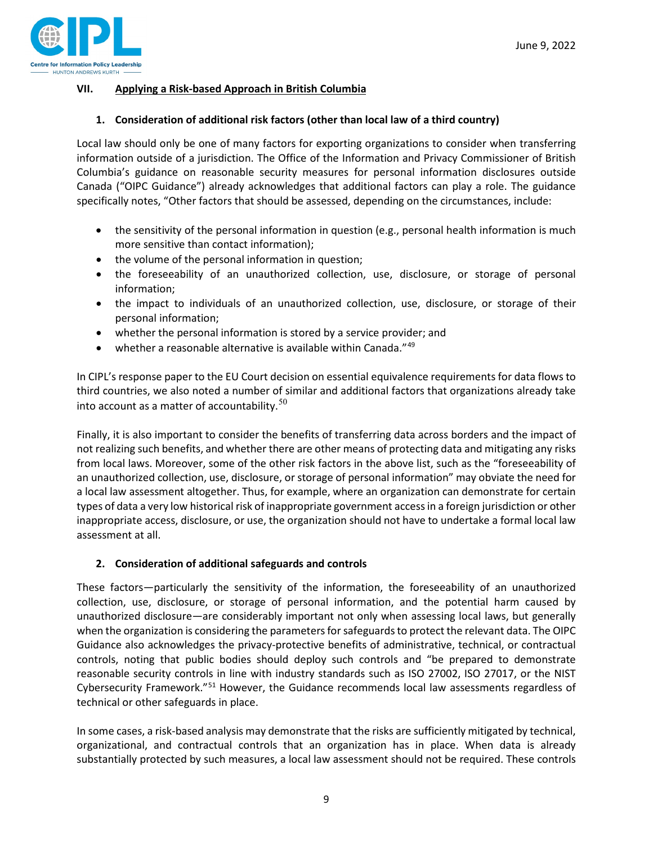

## **VII. Applying a Risk-based Approach in British Columbia**

## **1. Consideration of additional risk factors (other than local law of a third country)**

Local law should only be one of many factors for exporting organizations to consider when transferring information outside of a jurisdiction. The Office of the Information and Privacy Commissioner of British Columbia's guidance on reasonable security measures for personal information disclosures outside Canada ("OIPC Guidance") already acknowledges that additional factors can play a role. The guidance specifically notes, "Other factors that should be assessed, depending on the circumstances, include:

- the sensitivity of the personal information in question (e.g., personal health information is much more sensitive than contact information);
- the volume of the personal information in question;
- the foreseeability of an unauthorized collection, use, disclosure, or storage of personal information;
- the impact to individuals of an unauthorized collection, use, disclosure, or storage of their personal information;
- whether the personal information is stored by a service provider; and
- whether a reasonable alternative is available within Canada." $49$

In CIPL's response paper to the EU Court decision on essential equivalence requirements for data flows to third countries, we also noted a number of similar and additional factors that organizations already take into account as a matter of accountability. $50$ 

Finally, it is also important to consider the benefits of transferring data across borders and the impact of not realizing such benefits, and whether there are other means of protecting data and mitigating any risks from local laws. Moreover, some of the other risk factors in the above list, such as the "foreseeability of an unauthorized collection, use, disclosure, or storage of personal information" may obviate the need for a local law assessment altogether. Thus, for example, where an organization can demonstrate for certain types of data a very low historical risk of inappropriate government access in a foreign jurisdiction or other inappropriate access, disclosure, or use, the organization should not have to undertake a formal local law assessment at all.

#### **2. Consideration of additional safeguards and controls**

These factors—particularly the sensitivity of the information, the foreseeability of an unauthorized collection, use, disclosure, or storage of personal information, and the potential harm caused by unauthorized disclosure—are considerably important not only when assessing local laws, but generally when the organization is considering the parameters for safeguards to protect the relevant data. The OIPC Guidance also acknowledges the privacy-protective benefits of administrative, technical, or contractual controls, noting that public bodies should deploy such controls and "be prepared to demonstrate reasonable security controls in line with industry standards such as ISO 27002, ISO 27017, or the NIST Cybersecurity Framework."[51](#page-12-4) However, the Guidance recommends local law assessments regardless of technical or other safeguards in place.

In some cases, a risk-based analysis may demonstrate that the risks are sufficiently mitigated by technical, organizational, and contractual controls that an organization has in place. When data is already substantially protected by such measures, a local law assessment should not be required. These controls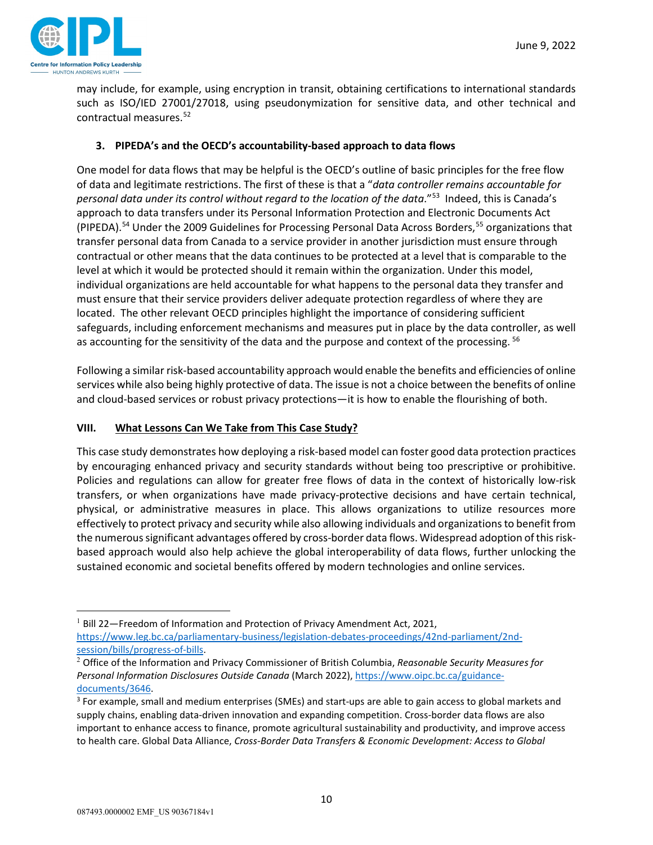

may include, for example, using encryption in transit, obtaining certifications to international standards such as ISO/IED 27001/27018, using pseudonymization for sensitive data, and other technical and contractual measures.[52](#page-12-5) 

## **3. PIPEDA's and the OECD's accountability-based approach to data flows**

One model for data flows that may be helpful is the OECD's outline of basic principles for the free flow of data and legitimate restrictions. The first of these is that a "*data controller remains accountable for personal data under its control without regard to the location of the data*.["53](#page-12-6) Indeed, this is Canada's approach to data transfers under its Personal Information Protection and Electronic Documents Act (PIPEDA).<sup>[54](#page-12-7)</sup> Under the 2009 Guidelines for Processing Personal Data Across Borders,<sup>[55](#page-12-8)</sup> organizations that transfer personal data from Canada to a service provider in another jurisdiction must ensure through contractual or other means that the data continues to be protected at a level that is comparable to the level at which it would be protected should it remain within the organization. Under this model, individual organizations are held accountable for what happens to the personal data they transfer and must ensure that their service providers deliver adequate protection regardless of where they are located. The other relevant OECD principles highlight the importance of considering sufficient safeguards, including enforcement mechanisms and measures put in place by the data controller, as well as accounting for the sensitivity of the data and the purpose and context of the processing. <sup>[56](#page-12-9)</sup>

Following a similar risk-based accountability approach would enable the benefits and efficiencies of online services while also being highly protective of data. The issue is not a choice between the benefits of online and cloud-based services or robust privacy protections—it is how to enable the flourishing of both.

#### **VIII. What Lessons Can We Take from This Case Study?**

This case study demonstrates how deploying a risk-based model can foster good data protection practices by encouraging enhanced privacy and security standards without being too prescriptive or prohibitive. Policies and regulations can allow for greater free flows of data in the context of historically low-risk transfers, or when organizations have made privacy-protective decisions and have certain technical, physical, or administrative measures in place. This allows organizations to utilize resources more effectively to protect privacy and security while also allowing individuals and organizations to benefit from the numerous significant advantages offered by cross-border data flows. Widespread adoption of this riskbased approach would also help achieve the global interoperability of data flows, further unlocking the sustained economic and societal benefits offered by modern technologies and online services.

<span id="page-9-0"></span> $1$  Bill 22-Freedom of Information and Protection of Privacy Amendment Act, 2021, [https://www.leg.bc.ca/parliamentary-business/legislation-debates-proceedings/42nd-parliament/2nd](https://www.leg.bc.ca/parliamentary-business/legislation-debates-proceedings/42nd-parliament/2nd-session/bills/progress-of-bills)[session/bills/progress-of-bills.](https://www.leg.bc.ca/parliamentary-business/legislation-debates-proceedings/42nd-parliament/2nd-session/bills/progress-of-bills)

<span id="page-9-1"></span><sup>2</sup> Office of the Information and Privacy Commissioner of British Columbia, *Reasonable Security Measures for Personal Information Disclosures Outside Canada* (March 2022), [https://www.oipc.bc.ca/guidance](https://www.oipc.bc.ca/guidance-documents/3646)[documents/3646.](https://www.oipc.bc.ca/guidance-documents/3646)

<span id="page-9-2"></span><sup>&</sup>lt;sup>3</sup> For example, small and medium enterprises (SMEs) and start-ups are able to gain access to global markets and supply chains, enabling data-driven innovation and expanding competition. Cross-border data flows are also important to enhance access to finance, promote agricultural sustainability and productivity, and improve access to health care. Global Data Alliance, *Cross-Border Data Transfers & Economic Development: Access to Global*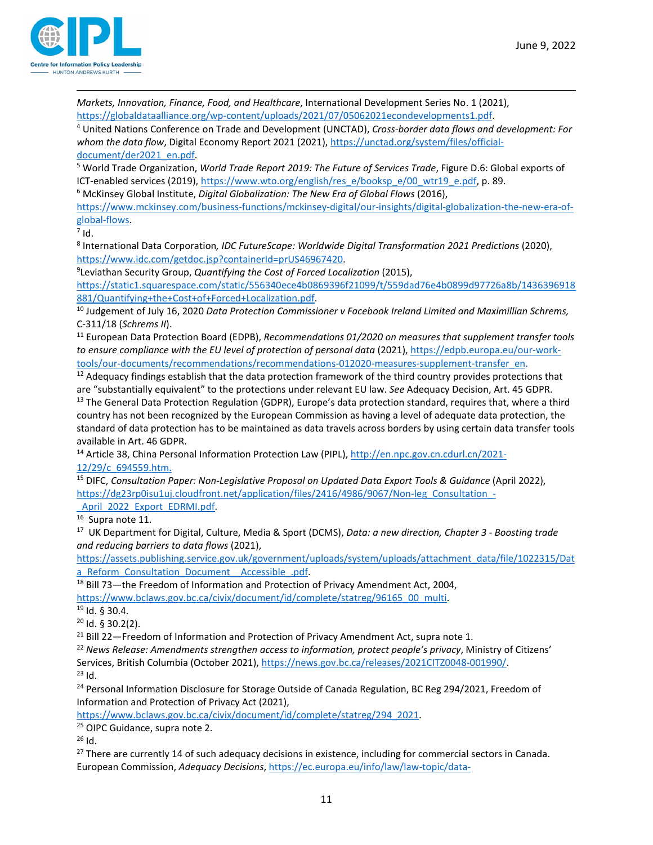

*Markets, Innovation, Finance, Food, and Healthcare*, International Development Series No. 1 (2021),

<span id="page-10-0"></span>[https://globaldataalliance.org/wp-content/uploads/2021/07/05062021econdevelopments1.pdf.](https://globaldataalliance.org/wp-content/uploads/2021/07/05062021econdevelopments1.pdf) 4 United Nations Conference on Trade and Development (UNCTAD), *Cross-border data flows and development: For whom the data flow*, Digital Economy Report 2021 (2021), [https://unctad.org/system/files/official-](https://unctad.org/system/files/official-document/der2021_en.pdf)

<span id="page-10-1"></span>[document/der2021\\_en.pdf.](https://unctad.org/system/files/official-document/der2021_en.pdf)<br><sup>5</sup> World Trade Organization, *World Trade Report 2019: The Future of Services Trade*, Figure D.6: Global exports of ICT-enabled services (2019)[, https://www.wto.org/english/res\\_e/booksp\\_e/00\\_wtr19\\_e.pdf,](https://www.wto.org/english/res_e/booksp_e/00_wtr19_e.pdf) p. 89.

<span id="page-10-2"></span><sup>6</sup> McKinsey Global Institute, *Digital Globalization: The New Era of Global Flows* (2016),

[https://www.mckinsey.com/business-functions/mckinsey-digital/our-insights/digital-globalization-the-new-era-of](https://www.mckinsey.com/business-functions/mckinsey-digital/our-insights/digital-globalization-the-new-era-of-global-flows)global-flows.<br><sup>7</sup> Id.

<span id="page-10-3"></span>

<span id="page-10-4"></span><sup>8</sup> International Data Corporation*, IDC FutureScape: Worldwide Digital Transformation 2021 Predictions* (2020), [https://www.idc.com/getdoc.jsp?containerId=prUS46967420.](https://www.idc.com/getdoc.jsp?containerId=prUS46967420)

<span id="page-10-5"></span>Leviathan Security Group, *Quantifying the Cost of Forced Localization* (2015),

[https://static1.squarespace.com/static/556340ece4b0869396f21099/t/559dad76e4b0899d97726a8b/1436396918](https://static1.squarespace.com/static/556340ece4b0869396f21099/t/559dad76e4b0899d97726a8b/1436396918881/Quantifying+the+Cost+of+Forced+Localization.pdf) [881/Quantifying+the+Cost+of+Forced+Localization.pdf.](https://static1.squarespace.com/static/556340ece4b0869396f21099/t/559dad76e4b0899d97726a8b/1436396918881/Quantifying+the+Cost+of+Forced+Localization.pdf) 10 Judgement of July 16, 2020 *Data Protection Commissioner v Facebook Ireland Limited and Maximillian Schrems,* 

<span id="page-10-6"></span>C-311/18 (*Schrems II*).

<span id="page-10-7"></span><sup>11</sup> European Data Protection Board (EDPB), *Recommendations 01/2020 on measures that supplement transfer tools to ensure compliance with the EU level of protection of personal data* (2021), [https://edpb.europa.eu/our-work](https://edpb.europa.eu/our-work-tools/our-documents/recommendations/recommendations-012020-measures-supplement-transfer_en)[tools/our-documents/recommendations/recommendations-012020-measures-supplement-transfer\\_en.](https://edpb.europa.eu/our-work-tools/our-documents/recommendations/recommendations-012020-measures-supplement-transfer_en)<br><sup>12</sup> Adequacy findings establish that the data protection framework of the third country provides protections that

<span id="page-10-9"></span><span id="page-10-8"></span>are "substantially equivalent" to the protections under relevant EU law. *See* Adequacy Decision, Art. 45 GDPR. <sup>13</sup> The General Data Protection Regulation (GDPR), Europe's data protection standard, requires that, where a third country has not been recognized by the European Commission as having a level of adequate data protection, the standard of data protection has to be maintained as data travels across borders by using certain data transfer tools available in Art. 46 GDPR.

<span id="page-10-10"></span><sup>14</sup> Article 38, China Personal Information Protection Law (PIPL), [http://en.npc.gov.cn.cdurl.cn/2021-](http://en.npc.gov.cn.cdurl.cn/2021-12/29/c_694559.htm) [12/29/c\\_694559.htm.](http://en.npc.gov.cn.cdurl.cn/2021-12/29/c_694559.htm)

<span id="page-10-11"></span><sup>15</sup> DIFC, *Consultation Paper: Non-Legislative Proposal on Updated Data Export Tools & Guidance* (April 2022), [https://dg23rp0isu1uj.cloudfront.net/application/files/2416/4986/9067/Non-leg\\_Consultation\\_-](https://dg23rp0isu1uj.cloudfront.net/application/files/2416/4986/9067/Non-leg_Consultation_-_April_2022_Export_EDRMI.pdf)

April\_2022\_Export\_EDRMI.pdf.<br><sup>16</sup> Supra note 11.

<span id="page-10-12"></span>

<span id="page-10-13"></span>17 UK Department for Digital, Culture, Media & Sport (DCMS), *Data: a new direction, Chapter 3 - Boosting trade and reducing barriers to data flows* (2021),

[https://assets.publishing.service.gov.uk/government/uploads/system/uploads/attachment\\_data/file/1022315/Dat](https://assets.publishing.service.gov.uk/government/uploads/system/uploads/attachment_data/file/1022315/Data_Reform_Consultation_Document__Accessible_.pdf) a\_Reform\_Consultation\_Document\_Accessible\_.pdf.<br><sup>18</sup> Bill 73—the Freedom of Information and Protection of Privacy Amendment Act, 2004,

<span id="page-10-14"></span>

<span id="page-10-15"></span>[https://www.bclaws.gov.bc.ca/civix/document/id/complete/statreg/96165\\_00\\_multi.](https://www.bclaws.gov.bc.ca/civix/document/id/complete/statreg/96165_00_multi) 19 Id. § 30.4.

<span id="page-10-16"></span> $20$  Id. § 30.2(2).

<span id="page-10-17"></span><sup>21</sup> Bill 22—Freedom of Information and Protection of Privacy Amendment Act, supra note 1.

<span id="page-10-18"></span><sup>22</sup> *News Release: Amendments strengthen access to information, protect people's privacy*, Ministry of Citizens' Services, British Columbia (October 2021), [https://news.gov.bc.ca/releases/2021CITZ0048-001990/.](https://news.gov.bc.ca/releases/2021CITZ0048-001990/)<br><sup>23</sup> Id.

<span id="page-10-19"></span>

<span id="page-10-20"></span><sup>24</sup> Personal Information Disclosure for Storage Outside of Canada Regulation, BC Reg 294/2021, Freedom of Information and Protection of Privacy Act (2021),

[https://www.bclaws.gov.bc.ca/civix/document/id/complete/statreg/294\\_2021.](https://www.bclaws.gov.bc.ca/civix/document/id/complete/statreg/294_2021)

<span id="page-10-21"></span><sup>25</sup> OIPC Guidance, supra note 2.<br><sup>26</sup> Id.

<span id="page-10-22"></span>

<span id="page-10-23"></span><sup>27</sup> There are currently 14 of such adequacy decisions in existence, including for commercial sectors in Canada. European Commission, *Adequacy Decisions*, [https://ec.europa.eu/info/law/law-topic/data-](https://ec.europa.eu/info/law/law-topic/data-protection/international-dimension-data-protection/adequacy-decisions_en)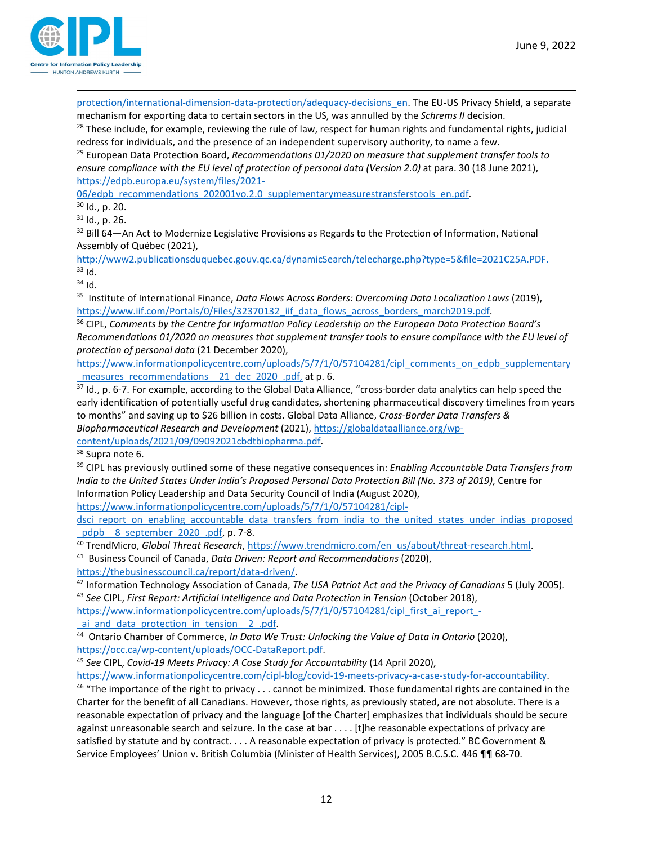[protection/international-dimension-data-protection/adequacy-decisions\\_en.](https://ec.europa.eu/info/law/law-topic/data-protection/international-dimension-data-protection/adequacy-decisions_en) The EU-US Privacy Shield, a separate mechanism for exporting data to certain sectors in the US, was annulled by the *Schrems II* decision.

<span id="page-11-0"></span> $28$  These include, for example, reviewing the rule of law, respect for human rights and fundamental rights, judicial redress for individuals, and the presence of an independent supervisory authority, to name a few.

<span id="page-11-1"></span><sup>29</sup> European Data Protection Board, *Recommendations 01/2020 on measure that supplement transfer tools to*  ensure compliance with the EU level of protection of personal data (Version 2.0) at para. 30 (18 June 2021), [https://edpb.europa.eu/system/files/2021-](https://edpb.europa.eu/system/files/2021-06/edpb_recommendations_202001vo.2.0_supplementarymeasurestransferstools_en.pdf)

<span id="page-11-2"></span>[06/edpb\\_recommendations\\_202001vo.2.0\\_supplementarymeasurestransferstools\\_en.pdf.](https://edpb.europa.eu/system/files/2021-06/edpb_recommendations_202001vo.2.0_supplementarymeasurestransferstools_en.pdf) 30 Id., p. 20.

<span id="page-11-3"></span> $31$  Id., p. 26.

<span id="page-11-4"></span><sup>32</sup> Bill 64—An Act to Modernize Legislative Provisions as Regards to the Protection of Information, National Assembly of Québec (2021),

<span id="page-11-5"></span>http://www2.publicationsduquebec.gouv.qc.ca/dynamicSearch/telecharge.php?type=5&file=2021C25A.PDF.<br><sup>33</sup> Id.

<span id="page-11-6"></span> $34$  Id.

<span id="page-11-7"></span>35 Institute of International Finance, *Data Flows Across Borders: Overcoming Data Localization Laws* (2019), [https://www.iif.com/Portals/0/Files/32370132\\_iif\\_data\\_flows\\_across\\_borders\\_march2019.pdf.](https://www.iif.com/Portals/0/Files/32370132_iif_data_flows_across_borders_march2019.pdf) 36 CIPL, *Comments by the Centre for Information Policy Leadership on the European Data Protection Board's* 

<span id="page-11-8"></span>*Recommendations 01/2020 on measures that supplement transfer tools to ensure compliance with the EU level of protection of personal data* (21 December 2020),

[https://www.informationpolicycentre.com/uploads/5/7/1/0/57104281/cipl\\_comments\\_on\\_edpb\\_supplementary](https://www.informationpolicycentre.com/uploads/5/7/1/0/57104281/cipl_comments_on_edpb_supplementary_measures_recommendations__21_dec_2020_.pdf) measures recommendations 21 dec 2020 .pdf, at p. 6.

<span id="page-11-9"></span> $37$  Id., p. 6-7. For example, according to the Global Data Alliance, "cross-border data analytics can help speed the early identification of potentially useful drug candidates, shortening pharmaceutical discovery timelines from years to months" and saving up to \$26 billion in costs. Global Data Alliance, *Cross-Border Data Transfers & Biopharmaceutical Research and Development* (2021)[, https://globaldataalliance.org/wp-](https://globaldataalliance.org/wp-content/uploads/2021/09/09092021cbdtbiopharma.pdf)

<span id="page-11-11"></span>

<span id="page-11-10"></span>[content/uploads/2021/09/09092021cbdtbiopharma.pdf.](https://globaldataalliance.org/wp-content/uploads/2021/09/09092021cbdtbiopharma.pdf)<br><sup>38</sup> Supra note 6.<br><sup>39</sup> CIPL has previously outlined some of these negative consequences in: *Enabling Accountable Data Transfers from India to the United States Under India's Proposed Personal Data Protection Bill (No. 373 of 2019)*, Centre for Information Policy Leadership and Data Security Council of India (August 2020),

[https://www.informationpolicycentre.com/uploads/5/7/1/0/57104281/cipl-](https://www.informationpolicycentre.com/uploads/5/7/1/0/57104281/cipl-dsci_report_on_enabling_accountable_data_transfers_from_india_to_the_united_states_under_indias_proposed_pdpb__8_september_2020_.pdf)

dsci report on enabling accountable data transfers from india to the united states under indias proposed pdpb 8 september 2020 .pdf, p. 7-8.

<span id="page-11-12"></span><sup>40</sup> TrendMicro, *Global Threat Research*, [https://www.trendmicro.com/en\\_us/about/threat-research.html.](https://www.trendmicro.com/en_us/about/threat-research.html) 41 Business Council of Canada, *Data Driven: Report and Recommendations* (2020),

<span id="page-11-13"></span>

<span id="page-11-14"></span>[https://thebusinesscouncil.ca/report/data-driven/.](https://thebusinesscouncil.ca/report/data-driven/)<br><sup>42</sup> Information Technology Association of Canada, *The USA Patriot Act and the Privacy of Canadians* 5 (July 2005). <sup>43</sup> See CIPL, First Report: Artificial Intelligence and Data Protection in Tension (October 2018),

<span id="page-11-15"></span>[https://www.informationpolicycentre.com/uploads/5/7/1/0/57104281/cipl\\_first\\_ai\\_report\\_-](https://www.informationpolicycentre.com/uploads/5/7/1/0/57104281/cipl_first_ai_report_-_ai_and_data_protection_in_tension__2_.pdf)

<span id="page-11-16"></span>[\\_ai\\_and\\_data\\_protection\\_in\\_tension\\_\\_2\\_.pdf.](https://www.informationpolicycentre.com/uploads/5/7/1/0/57104281/cipl_first_ai_report_-_ai_and_data_protection_in_tension__2_.pdf) 44 Ontario Chamber of Commerce, *In Data We Trust: Unlocking the Value of Data in Ontario* (2020), [https://occ.ca/wp-content/uploads/OCC-DataReport.pdf.](https://occ.ca/wp-content/uploads/OCC-DataReport.pdf) 45 *See* CIPL, *Covid-19 Meets Privacy: A Case Study for Accountability* (14 April 2020),

<span id="page-11-17"></span>

<span id="page-11-18"></span>[https://www.informationpolicycentre.com/cipl-blog/covid-19-meets-privacy-a-case-study-for-accountability.](https://www.informationpolicycentre.com/cipl-blog/covid-19-meets-privacy-a-case-study-for-accountability)<br><sup>46</sup> "The importance of the right to privacy . . . cannot be minimized. Those fundamental rights are contained in th Charter for the benefit of all Canadians. However, those rights, as previously stated, are not absolute. There is a reasonable expectation of privacy and the language [of the Charter] emphasizes that individuals should be secure against unreasonable search and seizure. In the case at bar . . . . [t]he reasonable expectations of privacy are satisfied by statute and by contract. . . . A reasonable expectation of privacy is protected." BC Government & Service Employees' Union v. British Columbia (Minister of Health Services), 2005 B.C.S.C. 446 ¶¶ 68-70.